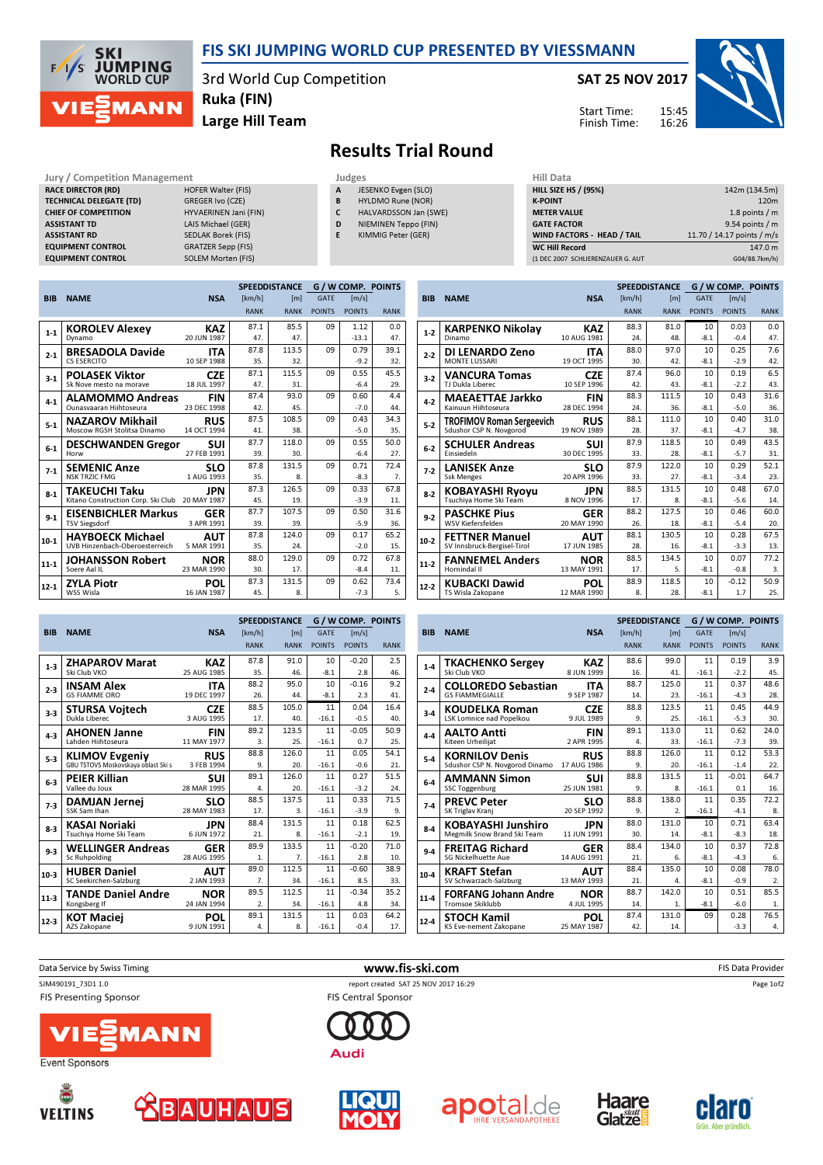

### FIS SKI JUMPING WORLD CUP PRESENTED BY VIESSMANN

3rd World Cup Competition Ruka (FIN)

Large Hill Team

SAT 25 NOV 2017

Start Time: Finish Time:



# Results Trial Round

#### Jury / Competition Management **Judges** Judges Hill Data Competition Management Judges Hill Data Competition A List<br>
HILL SALE DIRECTOR (RD) HILL S RACE DIRECTOR (RD) TECHNICAL DELEGATE (TD) GREGER Ivo (CZE) CHIEF OF COMPETITION HYVAERINEN Jani (FIN) ASSISTANT TD LAIS Michael (GER) ASSISTANT RD SEDLAK Borek (FIS) EQUIPMENT CONTROL GRATZER Sepp (FIS)<br>
EQUIPMENT CONTROL SOLEM Morten (FIS) **EQUIPMENT CONTROL**

- JESENKO Evgen (SLO)
- B HYLDMO Rune (NOR)
- C HALVARDSSON Jan (SWE)
- D NIEMINEN Teppo (FIN)
- E KIMMIG Peter (GER)

| HIII Data                         |                            |
|-----------------------------------|----------------------------|
| <b>HILL SIZE HS / (95%)</b>       | 142m (134.5m)              |
| <b>K-POINT</b>                    | 120 <sub>m</sub>           |
| <b>METER VALUE</b>                | 1.8 points $/m$            |
| <b>GATE FACTOR</b>                | 9.54 points / m            |
| <b>WIND FACTORS - HEAD / TAIL</b> | 11.70 / 14.17 points / m/s |
| <b>WC Hill Record</b>             | 147.0 m                    |
| (1 DEC 2007 SCHLIERENZAUER G. AUT | G04/88.7km/h)              |
|                                   |                            |

SPEEDDISTANCE G / W COMP. POINTS

|            |                                    |             | <b>SPEEDDISTANCE</b> |             | <b>G/WCOMP. POINTS</b> |                     |             |
|------------|------------------------------------|-------------|----------------------|-------------|------------------------|---------------------|-------------|
| <b>BIB</b> | <b>NAME</b>                        | <b>NSA</b>  | [km/h]               | [m]         | <b>GATE</b>            | $\lceil m/s \rceil$ |             |
|            |                                    |             | <b>RANK</b>          | <b>RANK</b> | <b>POINTS</b>          | <b>POINTS</b>       | <b>RANK</b> |
| $1 - 1$    | <b>KOROLEV Alexey</b>              | <b>KAZ</b>  | 87.1                 | 85.5        | 09                     | 1.12                | 0.0         |
|            | Dynamo                             | 20 JUN 1987 | 47.                  | 47.         |                        | $-13.1$             | 47.         |
| $2 - 1$    | <b>BRESADOLA Davide</b>            | <b>ITA</b>  | 87.8                 | 113.5       | 09                     | 0.79                | 39.1        |
|            | <b>CS ESERCITO</b>                 | 10 SEP 1988 | 35.                  | 32.         |                        | $-9.2$              | 32.         |
| $3 - 1$    | <b>POLASEK Viktor</b>              | <b>CZE</b>  | 87.1                 | 115.5       | 09                     | 0.55                | 45.5        |
|            | Sk Nove mesto na morave            | 18 JUL 1997 | 47.                  | 31.         |                        | $-6.4$              | 29.         |
| $4 - 1$    | <b>ALAMOMMO Andreas</b>            | <b>FIN</b>  | 87.4                 | 93.0        | 09                     | 0.60                | 4.4         |
|            | Ounasyaaran Hiihtoseura            | 23 DEC 1998 | 42.                  | 45.         |                        | $-7.0$              | 44.         |
| $5 - 1$    | <b>NAZAROV Mikhail</b>             | <b>RUS</b>  | 87.5                 | 108.5       | 09                     | 0.43                | 34.3        |
|            | Moscow RGSH Stolitsa Dinamo        | 14 OCT 1994 | 41.                  | 38.         |                        | $-5.0$              | 35.         |
| $6-1$      | <b>DESCHWANDEN Gregor</b>          | SUI         | 87.7                 | 118.0       | 09                     | 0.55                | 50.0        |
|            | Horw                               | 27 FEB 1991 | 39.                  | 30.         |                        | $-6.4$              | 27.         |
| $7-1$      | <b>SEMENIC Anze</b>                | <b>SLO</b>  | 87.8                 | 131.5       | 09                     | 0.71                | 72.4        |
|            | <b>NSK TRZIC FMG</b>               | 1 AUG 1993  | 35.                  | 8.          |                        | $-8.3$              | 7.          |
| $8 - 1$    | TAKEUCHI Taku                      | JPN         | 87.3                 | 126.5       | 09                     | 0.33                | 67.8        |
|            | Kitano Construction Corp. Ski Club | 20 MAY 1987 | 45.                  | 19.         |                        | $-3.9$              | 11.         |
| $9 - 1$    | <b>EISENBICHLER Markus</b>         | <b>GER</b>  | 87.7                 | 107.5       | 09                     | 0.50                | 31.6        |
|            | <b>TSV Siegsdorf</b>               | 3 APR 1991  | 39.                  | 39.         |                        | $-5.9$              | 36.         |
| $10 - 1$   | <b>HAYBOECK Michael</b>            | AUT         | 87.8                 | 124.0       | 09                     | 0.17                | 65.2        |
|            | UVB Hinzenbach-Oberoesterreich     | 5 MAR 1991  | 35.                  | 24.         |                        | $-2.0$              | 15.         |
| $11 - 1$   | JOHANSSON Robert                   | NOR         | 88.0                 | 129.0       | 09                     | 0.72                | 67.8        |
|            | Soere Aal II                       | 23 MAR 1990 | 30.                  | 17.         |                        | $-8.4$              | 11.         |
| 12-1       | <b>ZYLA Piotr</b>                  | <b>POL</b>  | 87.3                 | 131.5       | 09                     | 0.62                | 73.4        |
|            | WSS Wisla                          | 16 JAN 1987 | 45.                  | 8.          |                        | $-7.3$              | 5.          |

| <b>BIB</b> | <b>NAME</b>                 | <b>NSA</b>  | [km/h]      | [ <sub>m</sub> ] | <b>GATE</b>   | $\lfloor m/s \rfloor$ |             |  |
|------------|-----------------------------|-------------|-------------|------------------|---------------|-----------------------|-------------|--|
|            |                             |             | <b>RANK</b> | <b>RANK</b>      | <b>POINTS</b> | <b>POINTS</b>         | <b>RANK</b> |  |
| $1 - 2$    | <b>KARPENKO Nikolay</b>     | KAZ         | 88.3        | 81.0             | 10            | 0.03                  | 0.0         |  |
|            | Dinamo                      | 10 AUG 1981 | 24.         | 48.              | $-8.1$        | $-0.4$                | 47.         |  |
| $2 - 2$    | DI LENARDO Zeno             | <b>ITA</b>  | 88.0        | 97.0             | 10            | 0.25                  | 7.6         |  |
|            | <b>MONTF LUSSARI</b>        | 19 OCT 1995 | 30.         | 42.              | $-8.1$        | $-2.9$                | 42.         |  |
| $3-2$      | <b>VANCURA Tomas</b>        | <b>CZE</b>  | 87.4        | 96.0             | 10            | 0.19                  | 6.5         |  |
|            | TJ Dukla Liberec            | 10 SEP 1996 | 42.         | 43.              | $-8.1$        | $-2.2$                | 43.         |  |
| $4-2$      | <b>MAEAETTAE Jarkko</b>     | <b>FIN</b>  | 88.3        | 111.5            | 10            | 0.43                  | 31.6        |  |
|            | Kainuun Hiihtoseura         | 28 DEC 1994 | 24.         | 36.              | $-8.1$        | $-5.0$                | 36.         |  |
| $5 - 2$    | TROFIMOV Roman Sergeevich   | <b>RUS</b>  | 88.1        | 111.0            | 10            | 0.40                  | 31.0        |  |
|            | Sdushor CSP N. Novgorod     | 19 NOV 1989 | 28.         | 37.              | $-8.1$        | $-4.7$                | 38.         |  |
| $6 - 2$    | <b>SCHULER Andreas</b>      | sui         | 87.9        | 118.5            | 10            | 0.49                  | 43.5        |  |
|            | Finsiedeln                  | 30 DEC 1995 | 33.         | 28.              | $-8.1$        | $-5.7$                | 31.         |  |
| $7-2$      | <b>LANISEK Anze</b>         | SLO         | 87.9        | 122.0            | 10            | 0.29                  | 52.1        |  |
|            | <b>Ssk Menges</b>           | 20 APR 1996 | 33.         | 27.              | $-8.1$        | $-3.4$                | 23.         |  |
| $8-2$      | <b>KOBAYASHI Ryoyu</b>      | JPN         | 88.5        | 131.5            | 10            | 0.48                  | 67.0        |  |
|            | Tsuchiva Home Ski Team      | 8 NOV 1996  | 17.         | 8.               | $-8.1$        | $-5.6$                | 14.         |  |
| $9 - 2$    | <b>PASCHKE Pius</b>         | <b>GER</b>  | 88.2        | 127.5            | 10            | 0.46                  | 60.0        |  |
|            | <b>WSV Kiefersfelden</b>    | 20 MAY 1990 | 26.         | 18.              | $-8.1$        | $-5.4$                | 20.         |  |
| $10-2$     | <b>FETTNER Manuel</b>       | AUT         | 88.1        | 130.5            | 10            | 0.28                  | 67.5        |  |
|            | SV Innsbruck-Bergisel-Tirol | 17 JUN 1985 | 28.         | 16.              | $-8.1$        | $-3.3$                | 13.         |  |
| $11-2$     | <b>FANNEMEL Anders</b>      | <b>NOR</b>  | 88.5        | 134.5            | 10            | 0.07                  | 77.2        |  |
|            | Hornindal II                | 13 MAY 1991 | 17.         | 5.               | $-8.1$        | $-0.8$                | 3.          |  |
| $12-2$     | KUBACKI Dawid               | POL         | 88.9        | 118.5            | 10            | $-0.12$               | 50.9        |  |
|            | TS Wisla Zakopane           | 12 MAR 1990 | 8.          | 28.              | $-8.1$        | 1.7                   | 25.         |  |

|            |                                     |             |             | <b>SPEEDDISTANCE</b> |               | <b>G/WCOMP. POINTS</b> |             |
|------------|-------------------------------------|-------------|-------------|----------------------|---------------|------------------------|-------------|
| <b>BIB</b> | <b>NAME</b>                         | <b>NSA</b>  | [km/h]      | [m]                  | <b>GATE</b>   | [m/s]                  |             |
|            |                                     |             | <b>RANK</b> | <b>RANK</b>          | <b>POINTS</b> | <b>POINTS</b>          | <b>RANK</b> |
| $1-3$      | <b>ZHAPAROV Marat</b>               | KAZ         | 87.8        | 91.0                 | 10            | $-0.20$                | 2.5         |
|            | Ski Club VKO                        | 25 AUG 1985 | 35.         | 46.                  | $-8.1$        | 2.8                    | 46.         |
| $2 - 3$    | <b>INSAM Alex</b>                   | <b>ITA</b>  | 88.2        | 95.0                 | 10            | $-0.16$                | 9.2         |
|            | <b>GS FIAMME ORO</b>                | 19 DEC 1997 | 26.         | 44.                  | $-8.1$        | 2.3                    | 41.         |
| $3 - 3$    | <b>STURSA Vojtech</b>               | <b>CZE</b>  | 88.5        | 105.0                | 11            | 0.04                   | 16.4        |
|            | Dukla Liberec                       | 3 AUG 1995  | 17.         | 40.                  | $-16.1$       | $-0.5$                 | 40.         |
| $4 - 3$    | <b>AHONEN Janne</b>                 | <b>FIN</b>  | 89.2        | 123.5                | 11            | $-0.05$                | 50.9        |
|            | Lahden Hiihtoseura                  | 11 MAY 1977 | 3.          | 25.                  | $-16.1$       | 0.7                    | 25.         |
| $5 - 3$    | <b>KLIMOV Evgeniy</b>               | <b>RUS</b>  | 88.8        | 126.0                | 11            | 0.05                   | 54.1        |
|            | GBU TSTOVS Moskovskaya oblast Ski s | 3 FEB 1994  | 9.          | 20.                  | $-16.1$       | $-0.6$                 | 21.         |
| $6 - 3$    | <b>PEIER Killian</b>                | SUI         | 89.1        | 126.0                | 11            | 0.27                   | 51.5        |
|            | Vallee du Joux                      | 28 MAR 1995 | 4.          | 20.                  | $-16.1$       | $-3.2$                 | 24.         |
| $7-3$      | <b>DAMJAN Jernej</b>                | <b>SLO</b>  | 88.5        | 137.5                | 11            | 0.33                   | 71.5        |
|            | SSK Sam Ihan                        | 28 MAY 1983 | 17.         | 3.                   | $-16.1$       | $-3.9$                 | 9.          |
| $8 - 3$    | <b>KASAI Noriaki</b>                | JPN         | 88.4        | 131.5                | 11            | 0.18                   | 62.5        |
|            | Tsuchiya Home Ski Team              | 6 JUN 1972  | 21.         | 8.                   | $-16.1$       | $-2.1$                 | 19.         |
| $9 - 3$    | <b>WELLINGER Andreas</b>            | <b>GER</b>  | 89.9        | 133.5                | 11            | $-0.20$                | 71.0        |
|            | Sc Ruhpolding                       | 28 AUG 1995 | 1.          | 7.                   | $-16.1$       | 2.8                    | 10.         |
| $10-3$     | <b>HUBER Daniel</b>                 | AUT         | 89.0        | 112.5                | 11            | $-0.60$                | 38.9        |
|            | SC Seekirchen-Salzburg              | 2 JAN 1993  | 7.          | 34.                  | $-16.1$       | 8.5                    | 33.         |
| $11-3$     | <b>TANDE Daniel Andre</b>           | <b>NOR</b>  | 89.5        | 112.5                | 11            | $-0.34$                | 35.2        |
|            | Kongsberg If                        | 24 JAN 1994 | 2.          | 34.                  | $-16.1$       | 4.8                    | 34.         |
| $12 - 3$   | <b>KOT Maciej</b>                   | POL         | 89.1        | 131.5                | 11            | 0.03                   | 64.2        |
|            | AZS Zakopane                        | 9 JUN 1991  | 4.          | 8.                   | $-16.1$       | $-0.4$                 | 17.         |

|            | <b>SPEEDDISTANCE</b>            |             |             |                |               | <b>G/W COMP. POINTS</b> |             |  |  |
|------------|---------------------------------|-------------|-------------|----------------|---------------|-------------------------|-------------|--|--|
| <b>BIB</b> | <b>NAME</b>                     | <b>NSA</b>  | [km/h]      | [m]            | <b>GATE</b>   | [m/s]                   |             |  |  |
|            |                                 |             | <b>RANK</b> | <b>RANK</b>    | <b>POINTS</b> | <b>POINTS</b>           | <b>RANK</b> |  |  |
| $1 - 4$    | <b>TKACHENKO Sergey</b>         | <b>KAZ</b>  | 88.6        | 99.0           | 11            | 0.19                    | 3.9         |  |  |
|            | Ski Club VKO                    | 8 JUN 1999  | 16.         | 41.            | $-16.1$       | $-2.2$                  | 45.         |  |  |
| $2 - 4$    | <b>COLLOREDO Sebastian</b>      | <b>ITA</b>  | 88.7        | 125.0          | 11            | 0.37                    | 48.6        |  |  |
|            | <b>GS FIAMMFGIALLE</b>          | 9 SEP 1987  | 14.         | 23.            | $-16.1$       | $-4.3$                  | 28.         |  |  |
| $3-4$      | <b>KOUDELKA Roman</b>           | <b>CZE</b>  | 88.8        | 123.5          | 11            | 0.45                    | 44.9        |  |  |
|            | <b>LSK Lomnice nad Popelkou</b> | 9 JUL 1989  | 9.          | 25.            | $-16.1$       | $-5.3$                  | 30.         |  |  |
| $4-4$      | <b>AALTO Antti</b>              | <b>FIN</b>  | 89.1        | 113.0          | 11            | 0.62                    | 24.0        |  |  |
|            | Kiteen Urheilijat               | 2 APR 1995  | 4.          | 33.            | $-16.1$       | $-7.3$                  | 39.         |  |  |
| $5-4$      | <b>KORNILOV Denis</b>           | <b>RUS</b>  | 88.8        | 126.0          | 11            | 0.12                    | 53.3        |  |  |
|            | Sdushor CSP N. Novgorod Dinamo  | 17 AUG 1986 | 9.          | 20.            | $-16.1$       | $-1.4$                  | 22.         |  |  |
| $6 - 4$    | <b>AMMANN Simon</b>             | SUI         | 88.8        | 131.5          | 11            | $-0.01$                 | 64.7        |  |  |
|            | <b>SSC Toggenburg</b>           | 25 JUN 1981 | 9.          | 8.             | $-16.1$       | 0.1                     | 16.         |  |  |
| $7-4$      | <b>PREVC Peter</b>              | <b>SLO</b>  | 88.8        | 138.0          | 11            | 0.35                    | 72.2        |  |  |
|            | SK Triglav Kranj                | 20 SEP 1992 | 9.          | $\mathfrak{D}$ | $-16.1$       | $-4.1$                  | 8.          |  |  |
| $8 - 4$    | <b>KOBAYASHI Junshiro</b>       | JPN         | 88.0        | 131.0          | 10            | 0.71                    | 63.4        |  |  |
|            | Megmilk Snow Brand Ski Team     | 11 JUN 1991 | 30.         | 14.            | $-8.1$        | $-8.3$                  | 18.         |  |  |
| $9-4$      | <b>FREITAG Richard</b>          | <b>GER</b>  | 88.4        | 134.0          | 10            | 0.37                    | 72.8        |  |  |
|            | <b>SG Nickelhuette Aue</b>      | 14 AUG 1991 | 21.         | 6.             | $-8.1$        | $-4.3$                  | 6.          |  |  |
| $10-4$     | <b>KRAFT Stefan</b>             | <b>AUT</b>  | 88.4        | 135.0          | 10            | 0.08                    | 78.0        |  |  |
|            | SV Schwarzach-Salzburg          | 13 MAY 1993 | 21.         | 4.             | $-8.1$        | $-0.9$                  | 2.          |  |  |
| $11-4$     | <b>FORFANG Johann Andre</b>     | <b>NOR</b>  | 88.7        | 142.0          | 10            | 0.51                    | 85.5        |  |  |
|            | Tromsoe Skiklubb                | 4 JUL 1995  | 14.         | $\mathbf{1}$ . | $-8.1$        | $-6.0$                  | 1.          |  |  |
| $12 - 4$   | <b>STOCH Kamil</b>              | <b>POL</b>  | 87.4        | 131.0          | 09            | 0.28                    | 76.5        |  |  |
|            | KS Eve-nement Zakopane          | 25 MAY 1987 | 42.         | 14.            |               | $-3.3$                  | 4.          |  |  |
|            |                                 |             |             |                |               |                         |             |  |  |

Data Service by Swiss Timing **WWW.fis-ski.com www.fis-ski.com FIS Data Provider** 

SJM490191\_73D1 1.0 report created SAT 25 NOV 2017 16:29

FIS Presenting Sponsor









**FIS Central Sponsor** 

**Audi** 







Page 1of2